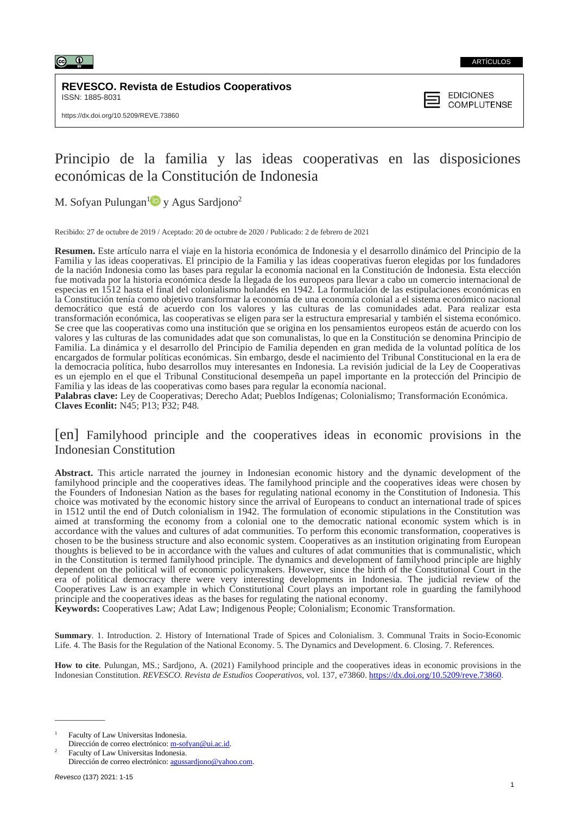

**REVESCO. Revista de Estudios Cooperativos** ISSN: 1885-8031



# Principio de la familia y las ideas cooperativas en las disposiciones económicas de la Constitución de Indonesia

M. Sofyan Pulungan<sup>[1](https://orcid.org/0000-0002-8824-8312)</sup><sup>D</sup> y Agus Sardjono<sup>2</sup>

Recibido: 27 de octubre de 2019 / Aceptado: 20 de octubre de 2020 / Publicado: 2 de febrero de 2021

**Resumen.** Este artículo narra el viaje en la historia económica de Indonesia y el desarrollo dinámico del Principio de la Familia y las ideas cooperativas. El principio de la Familia y las ideas cooperativas fueron elegidas por los fundadores de la nación Indonesia como las bases para regular la economía nacional en la Constitución de Indonesia. Esta elección fue motivada por la historia económica desde la llegada de los europeos para llevar a cabo un comercio internacional de especias en 1512 hasta el final del colonialismo holandés en 1942. La formulación de las estipulaciones económicas en la Constitución tenía como objetivo transformar la economía de una economía colonial a el sistema económico nacional democrático que está de acuerdo con los valores y las culturas de las comunidades adat. Para realizar esta transformación económica, las cooperativas se eligen para ser la estructura empresarial y también el sistema económico. Se cree que las cooperativas como una institución que se origina en los pensamientos europeos están de acuerdo con los valores y las culturas de las comunidades adat que son comunalistas, lo que en la Constitución se denomina Principio de Familia. La dinámica y el desarrollo del Principio de Familia dependen en gran medida de la voluntad política de los encargados de formular políticas económicas. Sin embargo, desde el nacimiento del Tribunal Constitucional en la era de la democracia política, hubo desarrollos muy interesantes en Indonesia. La revisión judicial de la Ley de Cooperativas es un ejemplo en el que el Tribunal Constitucional desempeña un papel importante en la protección del Principio de Familia y las ideas de las cooperativas como bases para regular la economía nacional.

**Palabras clave:** Ley de Cooperativas; Derecho Adat; Pueblos Indígenas; Colonialismo; Transformación Económica. **Claves Econlit:** N45; P13; P32; P48*.*

# [en] Familyhood principle and the cooperatives ideas in economic provisions in the Indonesian Constitution

**Abstract.** This article narrated the journey in Indonesian economic history and the dynamic development of the familyhood principle and the cooperatives ideas. The familyhood principle and the cooperatives ideas were chosen by the Founders of Indonesian Nation as the bases for regulating national economy in the Constitution of Indonesia. This choice was motivated by the economic history since the arrival of Europeans to conduct an international trade of spices in 1512 until the end of Dutch colonialism in 1942. The formulation of economic stipulations in the Constitution was aimed at transforming the economy from a colonial one to the democratic national economic system which is in accordance with the values and cultures of adat communities. To perform this economic transformation, cooperatives is chosen to be the business structure and also economic system. Cooperatives as an institution originating from European thoughts is believed to be in accordance with the values and cultures of adat communities that is communalistic, which in the Constitution is termed familyhood principle. The dynamics and development of familyhood principle are highly dependent on the political will of economic policymakers. However, since the birth of the Constitutional Court in the era of political democracy there were very interesting developments in Indonesia. The judicial review of the Cooperatives Law is an example in which Constitutional Court plays an important role in guarding the familyhood principle and the cooperatives ideas as the bases for regulating the national economy.

**Keywords:** Cooperatives Law; Adat Law; Indigenous People; Colonialism; Economic Transformation.

**Summary**. 1. Introduction. 2. History of International Trade of Spices and Colonialism. 3. Communal Traits in Socio-Economic Life. 4. The Basis for the Regulation of the National Economy. 5. The Dynamics and Development. 6. Closing. 7. References.

**How to cite**. Pulungan, MS.; Sardjono, A. (2021) Familyhood principle and the cooperatives ideas in economic provisions in the Indonesian Constitution. *REVESCO. Revista de Estudios Cooperativos*, vol. 137, e73860. [https://dx.doi.org/10.5209/reve.73860.](https://dx.doi.org/10.5209/reve.73860)

<sup>1</sup> Faculty of Law Universitas Indonesia. Dirección de correo electrónico: [m-sofyan@ui.ac.id.](mailto:m-sofyan@ui.ac.id)

<sup>2</sup> Faculty of Law Universitas Indonesia. Dirección de correo electrónico: [agussardjono@yahoo.com.](mailto:agussardjono@yahoo.com)

 $\overline{\phantom{a}}$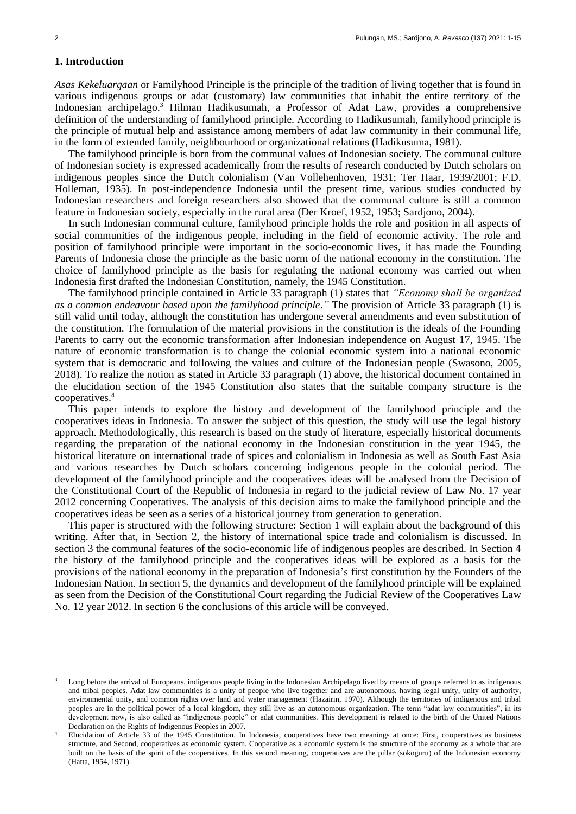# **1. Introduction**

\_\_\_\_\_\_\_\_\_\_\_\_\_

*Asas Kekeluargaan* or Familyhood Principle is the principle of the tradition of living together that is found in various indigenous groups or adat (customary) law communities that inhabit the entire territory of the Indonesian archipelago.<sup>3</sup> Hilman Hadikusumah, a Professor of Adat Law, provides a comprehensive definition of the understanding of familyhood principle. According to Hadikusumah, familyhood principle is the principle of mutual help and assistance among members of adat law community in their communal life, in the form of extended family, neighbourhood or organizational relations (Hadikusuma, 1981).

The familyhood principle is born from the communal values of Indonesian society*.* The communal culture of Indonesian society is expressed academically from the results of research conducted by Dutch scholars on indigenous peoples since the Dutch colonialism (Van Vollehenhoven, 1931; Ter Haar, 1939/2001; F.D. Holleman, 1935). In post-independence Indonesia until the present time, various studies conducted by Indonesian researchers and foreign researchers also showed that the communal culture is still a common feature in Indonesian society, especially in the rural area (Der Kroef, 1952, 1953; Sardjono, 2004).

In such Indonesian communal culture, familyhood principle holds the role and position in all aspects of social communities of the indigenous people, including in the field of economic activity. The role and position of familyhood principle were important in the socio-economic lives, it has made the Founding Parents of Indonesia chose the principle as the basic norm of the national economy in the constitution. The choice of familyhood principle as the basis for regulating the national economy was carried out when Indonesia first drafted the Indonesian Constitution, namely, the 1945 Constitution.

The familyhood principle contained in Article 33 paragraph (1) states that *"Economy shall be organized as a common endeavour based upon the familyhood principle*.*"* The provision of Article 33 paragraph (1) is still valid until today, although the constitution has undergone several amendments and even substitution of the constitution. The formulation of the material provisions in the constitution is the ideals of the Founding Parents to carry out the economic transformation after Indonesian independence on August 17, 1945. The nature of economic transformation is to change the colonial economic system into a national economic system that is democratic and following the values and culture of the Indonesian people (Swasono, 2005, 2018). To realize the notion as stated in Article 33 paragraph (1) above, the historical document contained in the elucidation section of the 1945 Constitution also states that the suitable company structure is the cooperatives. 4

This paper intends to explore the history and development of the familyhood principle and the cooperatives ideas in Indonesia. To answer the subject of this question, the study will use the legal history approach. Methodologically, this research is based on the study of literature, especially historical documents regarding the preparation of the national economy in the Indonesian constitution in the year 1945, the historical literature on international trade of spices and colonialism in Indonesia as well as South East Asia and various researches by Dutch scholars concerning indigenous people in the colonial period. The development of the familyhood principle and the cooperatives ideas will be analysed from the Decision of the Constitutional Court of the Republic of Indonesia in regard to the judicial review of Law No. 17 year 2012 concerning Cooperatives. The analysis of this decision aims to make the familyhood principle and the cooperatives ideas be seen as a series of a historical journey from generation to generation.

This paper is structured with the following structure: Section 1 will explain about the background of this writing. After that, in Section 2, the history of international spice trade and colonialism is discussed. In section 3 the communal features of the socio-economic life of indigenous peoples are described. In Section 4 the history of the familyhood principle and the cooperatives ideas will be explored as a basis for the provisions of the national economy in the preparation of Indonesia's first constitution by the Founders of the Indonesian Nation. In section 5, the dynamics and development of the familyhood principle will be explained as seen from the Decision of the Constitutional Court regarding the Judicial Review of the Cooperatives Law No. 12 year 2012. In section 6 the conclusions of this article will be conveyed.

<sup>3</sup> Long before the arrival of Europeans, indigenous people living in the Indonesian Archipelago lived by means of groups referred to as indigenous and tribal peoples. Adat law communities is a unity of people who live together and are autonomous, having legal unity, unity of authority, environmental unity, and common rights over land and water management (Hazairin, 1970). Although the territories of indigenous and tribal peoples are in the political power of a local kingdom, they still live as an autonomous organization. The term "adat law communities", in its development now, is also called as "indigenous people" or adat communities. This development is related to the birth of the United Nations Declaration on the Rights of Indigenous Peoples in 2007.

<sup>4</sup> Elucidation of Article 33 of the 1945 Constitution. In Indonesia, cooperatives have two meanings at once: First, cooperatives as business structure, and Second, cooperatives as economic system. Cooperative as a economic system is the structure of the economy as a whole that are built on the basis of the spirit of the cooperatives. In this second meaning, cooperatives are the pillar (sokoguru) of the Indonesian economy (Hatta, 1954, 1971).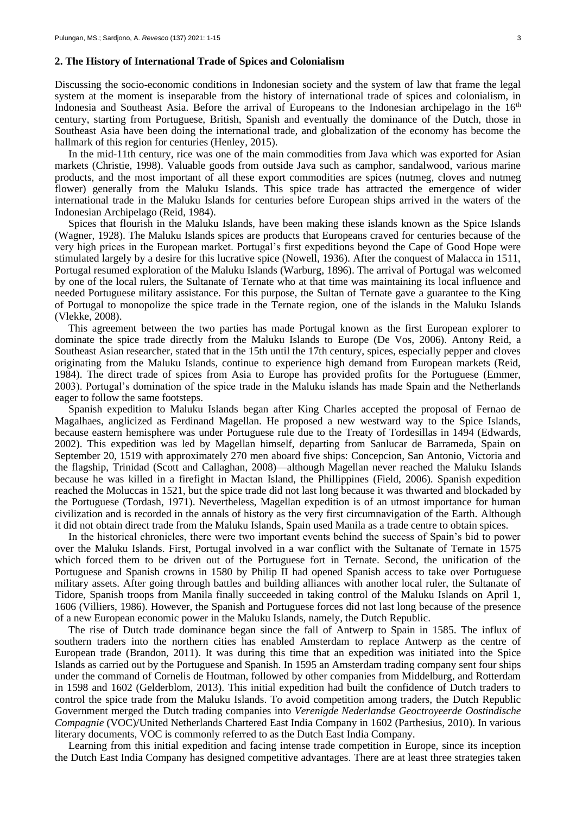#### **2. The History of International Trade of Spices and Colonialism**

Discussing the socio-economic conditions in Indonesian society and the system of law that frame the legal system at the moment is inseparable from the history of international trade of spices and colonialism, in Indonesia and Southeast Asia. Before the arrival of Europeans to the Indonesian archipelago in the  $16<sup>th</sup>$ century, starting from Portuguese, British, Spanish and eventually the dominance of the Dutch, those in Southeast Asia have been doing the international trade, and globalization of the economy has become the hallmark of this region for centuries (Henley, 2015).

In the mid-11th century, rice was one of the main commodities from Java which was exported for Asian markets (Christie, 1998). Valuable goods from outside Java such as camphor, sandalwood, various marine products, and the most important of all these export commodities are spices (nutmeg, cloves and nutmeg flower) generally from the Maluku Islands. This spice trade has attracted the emergence of wider international trade in the Maluku Islands for centuries before European ships arrived in the waters of the Indonesian Archipelago (Reid, 1984).

Spices that flourish in the Maluku Islands, have been making these islands known as the Spice Islands (Wagner, 1928). The Maluku Islands spices are products that Europeans craved for centuries because of the very high prices in the European market. Portugal's first expeditions beyond the Cape of Good Hope were stimulated largely by a desire for this lucrative spice (Nowell, 1936). After the conquest of Malacca in 1511, Portugal resumed exploration of the Maluku Islands (Warburg, 1896). The arrival of Portugal was welcomed by one of the local rulers, the Sultanate of Ternate who at that time was maintaining its local influence and needed Portuguese military assistance. For this purpose, the Sultan of Ternate gave a guarantee to the King of Portugal to monopolize the spice trade in the Ternate region, one of the islands in the Maluku Islands (Vlekke, 2008).

This agreement between the two parties has made Portugal known as the first European explorer to dominate the spice trade directly from the Maluku Islands to Europe (De Vos, 2006). Antony Reid, a Southeast Asian researcher, stated that in the 15th until the 17th century, spices, especially pepper and cloves originating from the Maluku Islands, continue to experience high demand from European markets (Reid, 1984). The direct trade of spices from Asia to Europe has provided profits for the Portuguese (Emmer, 2003). Portugal's domination of the spice trade in the Maluku islands has made Spain and the Netherlands eager to follow the same footsteps.

Spanish expedition to Maluku Islands began after King Charles accepted the proposal of Fernao de Magalhaes, anglicized as Ferdinand Magellan. He proposed a new westward way to the Spice Islands, because eastern hemisphere was under Portuguese rule due to the Treaty of Tordesillas in 1494 (Edwards, 2002). This expedition was led by Magellan himself, departing from Sanlucar de Barrameda, Spain on September 20, 1519 with approximately 270 men aboard five ships: Concepcion, San Antonio, Victoria and the flagship, Trinidad (Scott and Callaghan, 2008)—although Magellan never reached the Maluku Islands because he was killed in a firefight in Mactan Island, the Phillippines (Field, 2006). Spanish expedition reached the Moluccas in 1521, but the spice trade did not last long because it was thwarted and blockaded by the Portuguese (Tordash, 1971). Nevertheless, Magellan expedition is of an utmost importance for human civilization and is recorded in the annals of history as the very first circumnavigation of the Earth. Although it did not obtain direct trade from the Maluku Islands, Spain used Manila as a trade centre to obtain spices.

In the historical chronicles, there were two important events behind the success of Spain's bid to power over the Maluku Islands. First, Portugal involved in a war conflict with the Sultanate of Ternate in 1575 which forced them to be driven out of the Portuguese fort in Ternate. Second, the unification of the Portuguese and Spanish crowns in 1580 by Philip II had opened Spanish access to take over Portuguese military assets. After going through battles and building alliances with another local ruler, the Sultanate of Tidore, Spanish troops from Manila finally succeeded in taking control of the Maluku Islands on April 1, 1606 (Villiers, 1986). However, the Spanish and Portuguese forces did not last long because of the presence of a new European economic power in the Maluku Islands, namely, the Dutch Republic.

The rise of Dutch trade dominance began since the fall of Antwerp to Spain in 1585. The influx of southern traders into the northern cities has enabled Amsterdam to replace Antwerp as the centre of European trade (Brandon, 2011). It was during this time that an expedition was initiated into the Spice Islands as carried out by the Portuguese and Spanish. In 1595 an Amsterdam trading company sent four ships under the command of Cornelis de Houtman, followed by other companies from Middelburg, and Rotterdam in 1598 and 1602 (Gelderblom, 2013). This initial expedition had built the confidence of Dutch traders to control the spice trade from the Maluku Islands. To avoid competition among traders, the Dutch Republic Government merged the Dutch trading companies into *Verenigde Nederlandse Geoctroyeerde Oostindische Compagnie* (VOC)/United Netherlands Chartered East India Company in 1602 (Parthesius, 2010). In various literary documents, VOC is commonly referred to as the Dutch East India Company.

Learning from this initial expedition and facing intense trade competition in Europe, since its inception the Dutch East India Company has designed competitive advantages. There are at least three strategies taken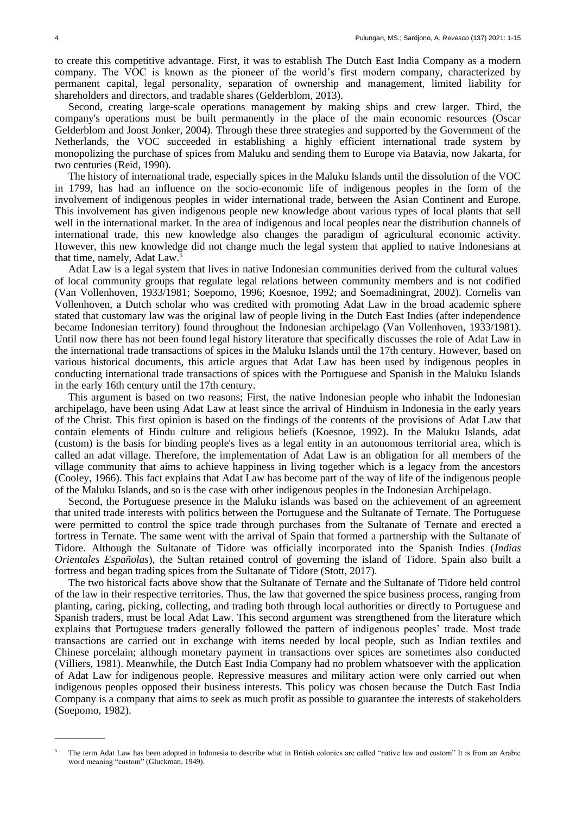to create this competitive advantage. First, it was to establish The Dutch East India Company as a modern company. The VOC is known as the pioneer of the world's first modern company, characterized by permanent capital, legal personality, separation of ownership and management, limited liability for shareholders and directors, and tradable shares (Gelderblom, 2013).

Second, creating large-scale operations management by making ships and crew larger. Third, the company's operations must be built permanently in the place of the main economic resources (Oscar Gelderblom and Joost Jonker, 2004). Through these three strategies and supported by the Government of the Netherlands, the VOC succeeded in establishing a highly efficient international trade system by monopolizing the purchase of spices from Maluku and sending them to Europe via Batavia, now Jakarta, for two centuries (Reid, 1990).

The history of international trade, especially spices in the Maluku Islands until the dissolution of the VOC in 1799, has had an influence on the socio-economic life of indigenous peoples in the form of the involvement of indigenous peoples in wider international trade, between the Asian Continent and Europe. This involvement has given indigenous people new knowledge about various types of local plants that sell well in the international market. In the area of indigenous and local peoples near the distribution channels of international trade, this new knowledge also changes the paradigm of agricultural economic activity. However, this new knowledge did not change much the legal system that applied to native Indonesians at that time, namely, Adat Law.<sup>5</sup>

Adat Law is a legal system that lives in native Indonesian communities derived from the cultural values of local community groups that regulate legal relations between community members and is not codified (Van Vollenhoven, 1933/1981; Soepomo, 1996; Koesnoe, 1992; and Soemadiningrat, 2002). Cornelis van Vollenhoven, a Dutch scholar who was credited with promoting Adat Law in the broad academic sphere stated that customary law was the original law of people living in the Dutch East Indies (after independence became Indonesian territory) found throughout the Indonesian archipelago (Van Vollenhoven, 1933/1981). Until now there has not been found legal history literature that specifically discusses the role of Adat Law in the international trade transactions of spices in the Maluku Islands until the 17th century. However, based on various historical documents, this article argues that Adat Law has been used by indigenous peoples in conducting international trade transactions of spices with the Portuguese and Spanish in the Maluku Islands in the early 16th century until the 17th century.

This argument is based on two reasons; First, the native Indonesian people who inhabit the Indonesian archipelago, have been using Adat Law at least since the arrival of Hinduism in Indonesia in the early years of the Christ. This first opinion is based on the findings of the contents of the provisions of Adat Law that contain elements of Hindu culture and religious beliefs (Koesnoe, 1992). In the Maluku Islands, adat (custom) is the basis for binding people's lives as a legal entity in an autonomous territorial area, which is called an adat village. Therefore, the implementation of Adat Law is an obligation for all members of the village community that aims to achieve happiness in living together which is a legacy from the ancestors (Cooley, 1966). This fact explains that Adat Law has become part of the way of life of the indigenous people of the Maluku Islands, and so is the case with other indigenous peoples in the Indonesian Archipelago.

Second, the Portuguese presence in the Maluku islands was based on the achievement of an agreement that united trade interests with politics between the Portuguese and the Sultanate of Ternate. The Portuguese were permitted to control the spice trade through purchases from the Sultanate of Ternate and erected a fortress in Ternate. The same went with the arrival of Spain that formed a partnership with the Sultanate of Tidore. Although the Sultanate of Tidore was officially incorporated into the Spanish Indies (*Indias Orientales Españolas*), the Sultan retained control of governing the island of Tidore. Spain also built a fortress and began trading spices from the Sultanate of Tidore (Stott, 2017).

The two historical facts above show that the Sultanate of Ternate and the Sultanate of Tidore held control of the law in their respective territories. Thus, the law that governed the spice business process, ranging from planting, caring, picking, collecting, and trading both through local authorities or directly to Portuguese and Spanish traders, must be local Adat Law. This second argument was strengthened from the literature which explains that Portuguese traders generally followed the pattern of indigenous peoples' trade. Most trade transactions are carried out in exchange with items needed by local people, such as Indian textiles and Chinese porcelain; although monetary payment in transactions over spices are sometimes also conducted (Villiers, 1981). Meanwhile, the Dutch East India Company had no problem whatsoever with the application of Adat Law for indigenous people. Repressive measures and military action were only carried out when indigenous peoples opposed their business interests. This policy was chosen because the Dutch East India Company is a company that aims to seek as much profit as possible to guarantee the interests of stakeholders (Soepomo, 1982).

 $\overline{\phantom{a}}$ 

<sup>5</sup> The term Adat Law has been adopted in Indonesia to describe what in British colonies are called "native law and custom" It is from an Arabic word meaning "custom" (Gluckman, 1949).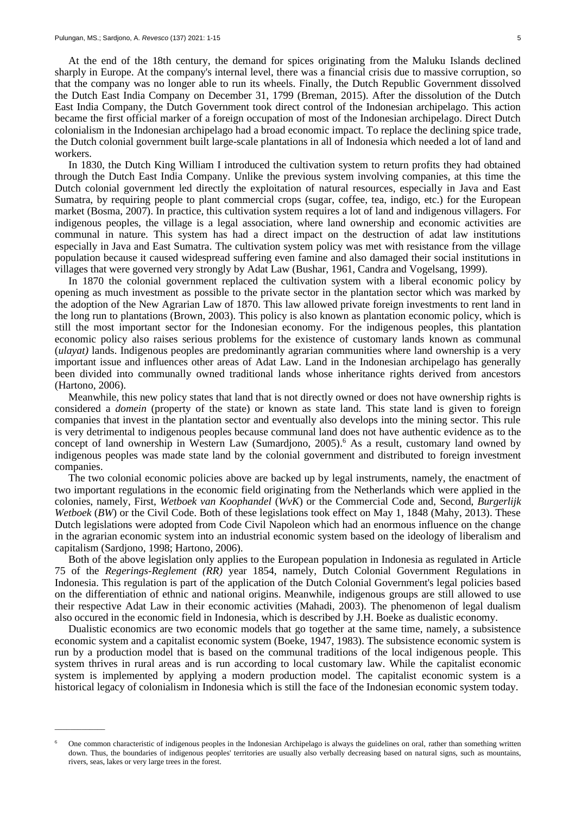\_\_\_\_\_\_\_\_\_\_\_\_\_

At the end of the 18th century, the demand for spices originating from the Maluku Islands declined sharply in Europe. At the company's internal level, there was a financial crisis due to massive corruption, so that the company was no longer able to run its wheels. Finally, the Dutch Republic Government dissolved the Dutch East India Company on December 31, 1799 (Breman, 2015). After the dissolution of the Dutch East India Company, the Dutch Government took direct control of the Indonesian archipelago. This action became the first official marker of a foreign occupation of most of the Indonesian archipelago. Direct Dutch colonialism in the Indonesian archipelago had a broad economic impact. To replace the declining spice trade, the Dutch colonial government built large-scale plantations in all of Indonesia which needed a lot of land and workers.

In 1830, the Dutch King William I introduced the cultivation system to return profits they had obtained through the Dutch East India Company. Unlike the previous system involving companies, at this time the Dutch colonial government led directly the exploitation of natural resources, especially in Java and East Sumatra, by requiring people to plant commercial crops (sugar, coffee, tea, indigo, etc.) for the European market (Bosma, 2007). In practice, this cultivation system requires a lot of land and indigenous villagers. For indigenous peoples, the village is a legal association, where land ownership and economic activities are communal in nature. This system has had a direct impact on the destruction of adat law institutions especially in Java and East Sumatra. The cultivation system policy was met with resistance from the village population because it caused widespread suffering even famine and also damaged their social institutions in villages that were governed very strongly by Adat Law (Bushar, 1961, Candra and Vogelsang, 1999).

In 1870 the colonial government replaced the cultivation system with a liberal economic policy by opening as much investment as possible to the private sector in the plantation sector which was marked by the adoption of the New Agrarian Law of 1870. This law allowed private foreign investments to rent land in the long run to plantations (Brown, 2003). This policy is also known as plantation economic policy, which is still the most important sector for the Indonesian economy. For the indigenous peoples, this plantation economic policy also raises serious problems for the existence of customary lands known as communal (*ulayat)* lands. Indigenous peoples are predominantly agrarian communities where land ownership is a very important issue and influences other areas of Adat Law. Land in the Indonesian archipelago has generally been divided into communally owned traditional lands whose inheritance rights derived from ancestors (Hartono, 2006).

Meanwhile, this new policy states that land that is not directly owned or does not have ownership rights is considered a *domein* (property of the state) or known as state land. This state land is given to foreign companies that invest in the plantation sector and eventually also develops into the mining sector. This rule is very detrimental to indigenous peoples because communal land does not have authentic evidence as to the concept of land ownership in Western Law (Sumardjono, 2005). <sup>6</sup> As a result, customary land owned by indigenous peoples was made state land by the colonial government and distributed to foreign investment companies.

The two colonial economic policies above are backed up by legal instruments, namely, the enactment of two important regulations in the economic field originating from the Netherlands which were applied in the colonies, namely, First, *Wetboek van Koophandel* (*WvK*) or the Commercial Code and, Second, *Burgerlijk Wetboek* (*BW*) or the Civil Code. Both of these legislations took effect on May 1, 1848 (Mahy, 2013). These Dutch legislations were adopted from Code Civil Napoleon which had an enormous influence on the change in the agrarian economic system into an industrial economic system based on the ideology of liberalism and capitalism (Sardjono, 1998; Hartono, 2006).

Both of the above legislation only applies to the European population in Indonesia as regulated in Article 75 of the *Regerings-Reglement (RR)* year 1854, namely, Dutch Colonial Government Regulations in Indonesia. This regulation is part of the application of the Dutch Colonial Government's legal policies based on the differentiation of ethnic and national origins. Meanwhile, indigenous groups are still allowed to use their respective Adat Law in their economic activities (Mahadi, 2003). The phenomenon of legal dualism also occured in the economic field in Indonesia, which is described by J.H. Boeke as dualistic economy.

Dualistic economics are two economic models that go together at the same time, namely, a subsistence economic system and a capitalist economic system (Boeke, 1947, 1983). The subsistence economic system is run by a production model that is based on the communal traditions of the local indigenous people. This system thrives in rural areas and is run according to local customary law. While the capitalist economic system is implemented by applying a modern production model. The capitalist economic system is a historical legacy of colonialism in Indonesia which is still the face of the Indonesian economic system today.

<sup>6</sup> One common characteristic of indigenous peoples in the Indonesian Archipelago is always the guidelines on oral, rather than something written down. Thus, the boundaries of indigenous peoples' territories are usually also verbally decreasing based on natural signs, such as mountains, rivers, seas, lakes or very large trees in the forest.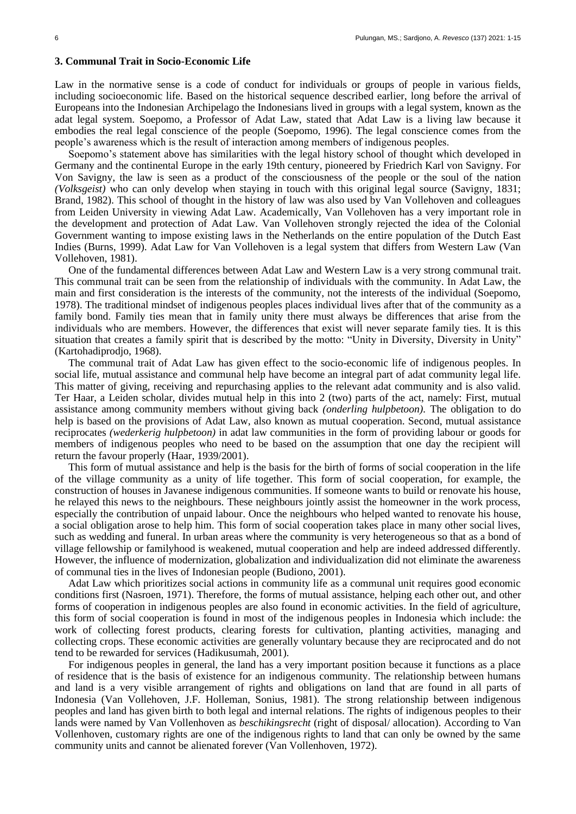## **3. Communal Trait in Socio-Economic Life**

Law in the normative sense is a code of conduct for individuals or groups of people in various fields, including socioeconomic life. Based on the historical sequence described earlier, long before the arrival of Europeans into the Indonesian Archipelago the Indonesians lived in groups with a legal system, known as the adat legal system. Soepomo, a Professor of Adat Law, stated that Adat Law is a living law because it embodies the real legal conscience of the people (Soepomo, 1996). The legal conscience comes from the people's awareness which is the result of interaction among members of indigenous peoples.

Soepomo's statement above has similarities with the legal history school of thought which developed in Germany and the continental Europe in the early 19th century, pioneered by Friedrich Karl von Savigny. For Von Savigny, the law is seen as a product of the consciousness of the people or the soul of the nation *(Volksgeist)* who can only develop when staying in touch with this original legal source (Savigny, 1831; Brand, 1982). This school of thought in the history of law was also used by Van Vollehoven and colleagues from Leiden University in viewing Adat Law. Academically, Van Vollehoven has a very important role in the development and protection of Adat Law. Van Vollehoven strongly rejected the idea of the Colonial Government wanting to impose existing laws in the Netherlands on the entire population of the Dutch East Indies (Burns, 1999). Adat Law for Van Vollehoven is a legal system that differs from Western Law (Van Vollehoven, 1981).

One of the fundamental differences between Adat Law and Western Law is a very strong communal trait. This communal trait can be seen from the relationship of individuals with the community. In Adat Law, the main and first consideration is the interests of the community, not the interests of the individual (Soepomo, 1978). The traditional mindset of indigenous peoples places individual lives after that of the community as a family bond. Family ties mean that in family unity there must always be differences that arise from the individuals who are members. However, the differences that exist will never separate family ties. It is this situation that creates a family spirit that is described by the motto: "Unity in Diversity, Diversity in Unity" (Kartohadiprodjo, 1968).

The communal trait of Adat Law has given effect to the socio-economic life of indigenous peoples. In social life, mutual assistance and communal help have become an integral part of adat community legal life. This matter of giving, receiving and repurchasing applies to the relevant adat community and is also valid. Ter Haar, a Leiden scholar, divides mutual help in this into 2 (two) parts of the act, namely: First, mutual assistance among community members without giving back *(onderling hulpbetoon).* The obligation to do help is based on the provisions of Adat Law, also known as mutual cooperation. Second, mutual assistance reciprocates *(wederkerig hulpbetoon)* in adat law communities in the form of providing labour or goods for members of indigenous peoples who need to be based on the assumption that one day the recipient will return the favour properly (Haar, 1939/2001).

This form of mutual assistance and help is the basis for the birth of forms of social cooperation in the life of the village community as a unity of life together. This form of social cooperation, for example, the construction of houses in Javanese indigenous communities. If someone wants to build or renovate his house, he relayed this news to the neighbours. These neighbours jointly assist the homeowner in the work process, especially the contribution of unpaid labour. Once the neighbours who helped wanted to renovate his house, a social obligation arose to help him. This form of social cooperation takes place in many other social lives, such as wedding and funeral. In urban areas where the community is very heterogeneous so that as a bond of village fellowship or familyhood is weakened, mutual cooperation and help are indeed addressed differently. However, the influence of modernization, globalization and individualization did not eliminate the awareness of communal ties in the lives of Indonesian people (Budiono, 2001).

Adat Law which prioritizes social actions in community life as a communal unit requires good economic conditions first (Nasroen, 1971). Therefore, the forms of mutual assistance, helping each other out, and other forms of cooperation in indigenous peoples are also found in economic activities. In the field of agriculture, this form of social cooperation is found in most of the indigenous peoples in Indonesia which include: the work of collecting forest products, clearing forests for cultivation, planting activities, managing and collecting crops. These economic activities are generally voluntary because they are reciprocated and do not tend to be rewarded for services (Hadikusumah, 2001).

For indigenous peoples in general, the land has a very important position because it functions as a place of residence that is the basis of existence for an indigenous community. The relationship between humans and land is a very visible arrangement of rights and obligations on land that are found in all parts of Indonesia (Van Vollehoven, J.F. Holleman, Sonius, 1981). The strong relationship between indigenous peoples and land has given birth to both legal and internal relations. The rights of indigenous peoples to their lands were named by Van Vollenhoven as *beschikingsrecht* (right of disposal/ allocation). According to Van Vollenhoven, customary rights are one of the indigenous rights to land that can only be owned by the same community units and cannot be alienated forever (Van Vollenhoven, 1972).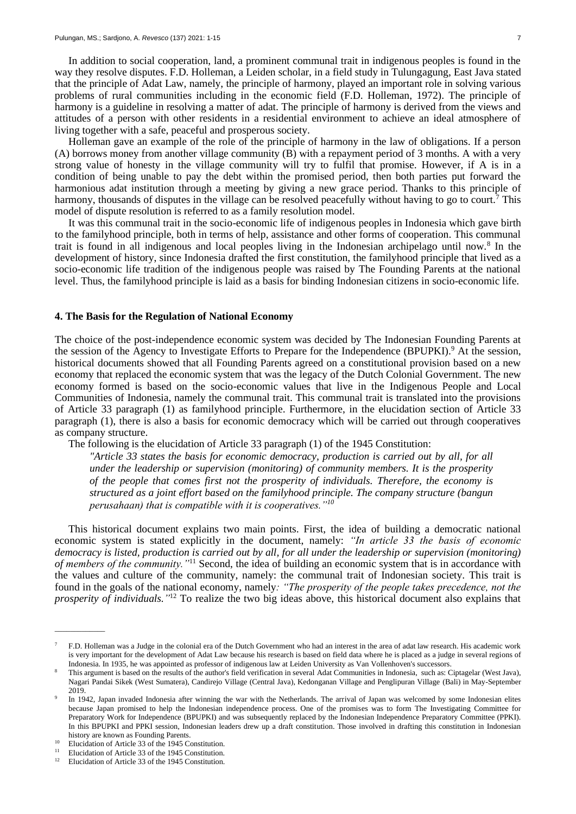In addition to social cooperation, land, a prominent communal trait in indigenous peoples is found in the way they resolve disputes. F.D. Holleman, a Leiden scholar, in a field study in Tulungagung, East Java stated that the principle of Adat Law, namely, the principle of harmony, played an important role in solving various problems of rural communities including in the economic field (F.D. Holleman, 1972). The principle of harmony is a guideline in resolving a matter of adat. The principle of harmony is derived from the views and attitudes of a person with other residents in a residential environment to achieve an ideal atmosphere of living together with a safe, peaceful and prosperous society.

Holleman gave an example of the role of the principle of harmony in the law of obligations. If a person (A) borrows money from another village community (B) with a repayment period of 3 months. A with a very strong value of honesty in the village community will try to fulfil that promise. However, if A is in a condition of being unable to pay the debt within the promised period, then both parties put forward the harmonious adat institution through a meeting by giving a new grace period. Thanks to this principle of harmony, thousands of disputes in the village can be resolved peacefully without having to go to court.<sup>7</sup> This model of dispute resolution is referred to as a family resolution model.

It was this communal trait in the socio-economic life of indigenous peoples in Indonesia which gave birth to the familyhood principle, both in terms of help, assistance and other forms of cooperation. This communal trait is found in all indigenous and local peoples living in the Indonesian archipelago until now.<sup>8</sup> In the development of history, since Indonesia drafted the first constitution, the familyhood principle that lived as a socio-economic life tradition of the indigenous people was raised by The Founding Parents at the national level. Thus, the familyhood principle is laid as a basis for binding Indonesian citizens in socio-economic life.

### **4. The Basis for the Regulation of National Economy**

The choice of the post-independence economic system was decided by The Indonesian Founding Parents at the session of the Agency to Investigate Efforts to Prepare for the Independence (BPUPKI).<sup>9</sup> At the session, historical documents showed that all Founding Parents agreed on a constitutional provision based on a new economy that replaced the economic system that was the legacy of the Dutch Colonial Government. The new economy formed is based on the socio-economic values that live in the Indigenous People and Local Communities of Indonesia, namely the communal trait. This communal trait is translated into the provisions of Article 33 paragraph (1) as familyhood principle. Furthermore, in the elucidation section of Article 33 paragraph (1), there is also a basis for economic democracy which will be carried out through cooperatives as company structure.

The following is the elucidation of Article 33 paragraph (1) of the 1945 Constitution:

*"Article 33 states the basis for economic democracy, production is carried out by all, for all under the leadership or supervision (monitoring) of community members. It is the prosperity of the people that comes first not the prosperity of individuals. Therefore, the economy is structured as a joint effort based on the familyhood principle. The company structure (bangun perusahaan) that is compatible with it is cooperatives."<sup>10</sup>*

This historical document explains two main points. First, the idea of building a democratic national economic system is stated explicitly in the document, namely: *"In article 33 the basis of economic democracy is listed, production is carried out by all, for all under the leadership or supervision (monitoring) of members of the community."*<sup>11</sup> Second, the idea of building an economic system that is in accordance with the values and culture of the community, namely: the communal trait of Indonesian society. This trait is found in the goals of the national economy, namely*: "The prosperity of the people takes precedence, not the prosperity of individuals."* <sup>12</sup> To realize the two big ideas above, this historical document also explains that

<sup>7</sup> F.D. Holleman was a Judge in the colonial era of the Dutch Government who had an interest in the area of adat law research. His academic work is very important for the development of Adat Law because his research is based on field data where he is placed as a judge in several regions of Indonesia. In 1935, he was appointed as professor of indigenous law at Leiden University as Van Vollenhoven's successors.

<sup>8</sup> This argument is based on the results of the author's field verification in several Adat Communities in Indonesia, such as: Ciptagelar (West Java), Nagari Pandai Sikek (West Sumatera), Candirejo Village (Central Java), Kedonganan Village and Penglipuran Village (Bali) in May-September 2019.

<sup>9</sup> In 1942, Japan invaded Indonesia after winning the war with the Netherlands. The arrival of Japan was welcomed by some Indonesian elites because Japan promised to help the Indonesian independence process. One of the promises was to form The Investigating Committee for Preparatory Work for Independence (BPUPKI) and was subsequently replaced by the Indonesian Independence Preparatory Committee (PPKI). In this BPUPKI and PPKI session, Indonesian leaders drew up a draft constitution. Those involved in drafting this constitution in Indonesian history are known as Founding Parents.

<sup>&</sup>lt;sup>10</sup> Elucidation of Article 33 of the 1945 Constitution.

<sup>&</sup>lt;sup>11</sup> Elucidation of Article 33 of the 1945 Constitution.<br><sup>12</sup> Elucidation of Article 22 of the 1945 Constitution. Elucidation of Article 33 of the 1945 Constitution.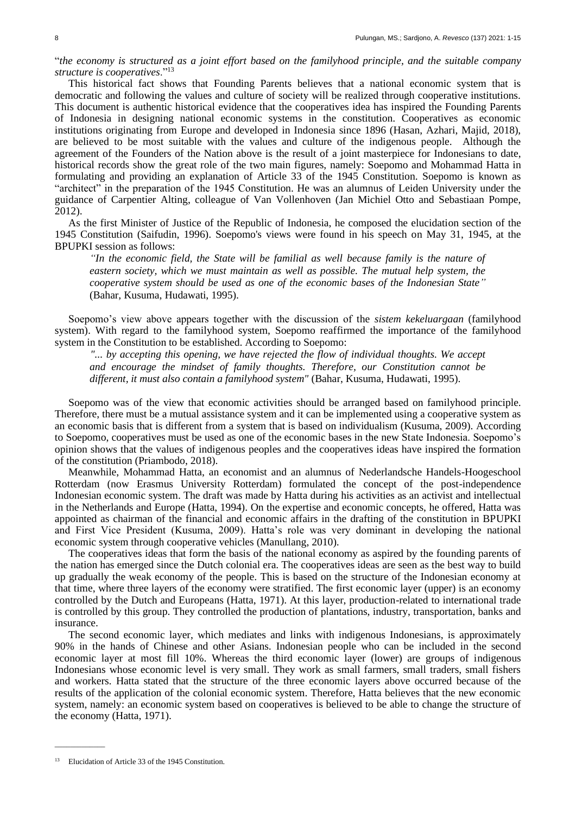"*the economy is structured as a joint effort based on the familyhood principle, and the suitable company structure is cooperatives*."<sup>13</sup>

This historical fact shows that Founding Parents believes that a national economic system that is democratic and following the values and culture of society will be realized through cooperative institutions. This document is authentic historical evidence that the cooperatives idea has inspired the Founding Parents of Indonesia in designing national economic systems in the constitution. Cooperatives as economic institutions originating from Europe and developed in Indonesia since 1896 (Hasan, Azhari, Majid, 2018), are believed to be most suitable with the values and culture of the indigenous people. Although the agreement of the Founders of the Nation above is the result of a joint masterpiece for Indonesians to date, historical records show the great role of the two main figures, namely: Soepomo and Mohammad Hatta in formulating and providing an explanation of Article 33 of the 1945 Constitution. Soepomo is known as "architect" in the preparation of the 1945 Constitution. He was an alumnus of Leiden University under the guidance of Carpentier Alting, colleague of Van Vollenhoven (Jan Michiel Otto and Sebastiaan Pompe, 2012).

As the first Minister of Justice of the Republic of Indonesia, he composed the elucidation section of the 1945 Constitution (Saifudin, 1996). Soepomo's views were found in his speech on May 31, 1945, at the BPUPKI session as follows:

*"In the economic field, the State will be familial as well because family is the nature of eastern society, which we must maintain as well as possible. The mutual help system, the cooperative system should be used as one of the economic bases of the Indonesian State"* (Bahar, Kusuma, Hudawati, 1995).

Soepomo's view above appears together with the discussion of the *sistem kekeluargaan* (familyhood system). With regard to the familyhood system, Soepomo reaffirmed the importance of the familyhood system in the Constitution to be established. According to Soepomo:

*"... by accepting this opening, we have rejected the flow of individual thoughts. We accept and encourage the mindset of family thoughts. Therefore, our Constitution cannot be different, it must also contain a familyhood system"* (Bahar, Kusuma, Hudawati, 1995).

Soepomo was of the view that economic activities should be arranged based on familyhood principle. Therefore, there must be a mutual assistance system and it can be implemented using a cooperative system as an economic basis that is different from a system that is based on individualism (Kusuma, 2009). According to Soepomo, cooperatives must be used as one of the economic bases in the new State Indonesia. Soepomo's opinion shows that the values of indigenous peoples and the cooperatives ideas have inspired the formation of the constitution (Priambodo, 2018).

Meanwhile, Mohammad Hatta, an economist and an alumnus of Nederlandsche Handels-Hoogeschool Rotterdam (now Erasmus University Rotterdam) formulated the concept of the post-independence Indonesian economic system. The draft was made by Hatta during his activities as an activist and intellectual in the Netherlands and Europe (Hatta, 1994). On the expertise and economic concepts, he offered, Hatta was appointed as chairman of the financial and economic affairs in the drafting of the constitution in BPUPKI and First Vice President (Kusuma, 2009). Hatta's role was very dominant in developing the national economic system through cooperative vehicles (Manullang, 2010).

The cooperatives ideas that form the basis of the national economy as aspired by the founding parents of the nation has emerged since the Dutch colonial era. The cooperatives ideas are seen as the best way to build up gradually the weak economy of the people. This is based on the structure of the Indonesian economy at that time, where three layers of the economy were stratified. The first economic layer (upper) is an economy controlled by the Dutch and Europeans (Hatta, 1971). At this layer, production-related to international trade is controlled by this group. They controlled the production of plantations, industry, transportation, banks and insurance.

The second economic layer, which mediates and links with indigenous Indonesians, is approximately 90% in the hands of Chinese and other Asians. Indonesian people who can be included in the second economic layer at most fill 10%. Whereas the third economic layer (lower) are groups of indigenous Indonesians whose economic level is very small. They work as small farmers, small traders, small fishers and workers. Hatta stated that the structure of the three economic layers above occurred because of the results of the application of the colonial economic system. Therefore, Hatta believes that the new economic system, namely: an economic system based on cooperatives is believed to be able to change the structure of the economy (Hatta, 1971).

<sup>&</sup>lt;sup>13</sup> Elucidation of Article 33 of the 1945 Constitution.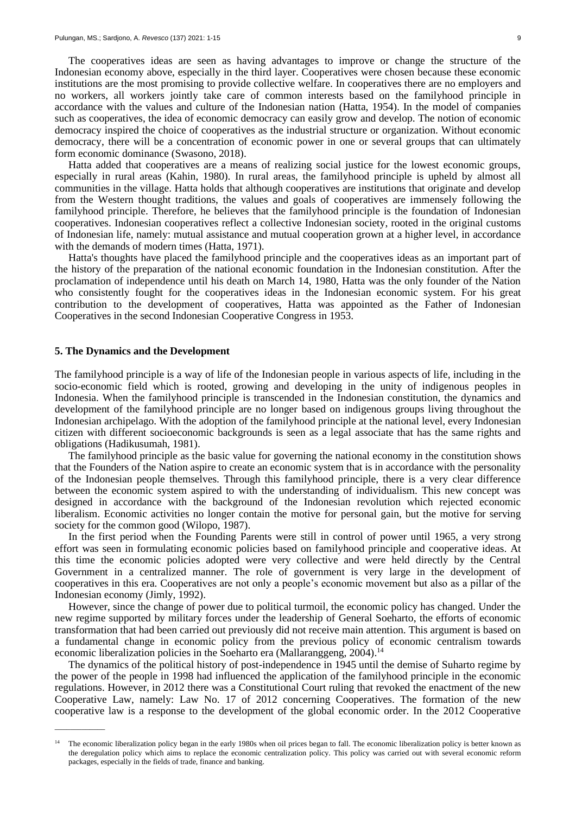The cooperatives ideas are seen as having advantages to improve or change the structure of the Indonesian economy above, especially in the third layer. Cooperatives were chosen because these economic institutions are the most promising to provide collective welfare. In cooperatives there are no employers and no workers, all workers jointly take care of common interests based on the familyhood principle in accordance with the values and culture of the Indonesian nation (Hatta, 1954). In the model of companies such as cooperatives, the idea of economic democracy can easily grow and develop. The notion of economic democracy inspired the choice of cooperatives as the industrial structure or organization. Without economic democracy, there will be a concentration of economic power in one or several groups that can ultimately form economic dominance (Swasono, 2018).

Hatta added that cooperatives are a means of realizing social justice for the lowest economic groups, especially in rural areas (Kahin, 1980). In rural areas, the familyhood principle is upheld by almost all communities in the village. Hatta holds that although cooperatives are institutions that originate and develop from the Western thought traditions, the values and goals of cooperatives are immensely following the familyhood principle. Therefore, he believes that the familyhood principle is the foundation of Indonesian cooperatives. Indonesian cooperatives reflect a collective Indonesian society, rooted in the original customs of Indonesian life, namely: mutual assistance and mutual cooperation grown at a higher level, in accordance with the demands of modern times (Hatta, 1971).

Hatta's thoughts have placed the familyhood principle and the cooperatives ideas as an important part of the history of the preparation of the national economic foundation in the Indonesian constitution. After the proclamation of independence until his death on March 14, 1980, Hatta was the only founder of the Nation who consistently fought for the cooperatives ideas in the Indonesian economic system. For his great contribution to the development of cooperatives, Hatta was appointed as the Father of Indonesian Cooperatives in the second Indonesian Cooperative Congress in 1953.

### **5. The Dynamics and the Development**

\_\_\_\_\_\_\_\_\_\_\_\_\_

The familyhood principle is a way of life of the Indonesian people in various aspects of life, including in the socio-economic field which is rooted, growing and developing in the unity of indigenous peoples in Indonesia. When the familyhood principle is transcended in the Indonesian constitution, the dynamics and development of the familyhood principle are no longer based on indigenous groups living throughout the Indonesian archipelago. With the adoption of the familyhood principle at the national level, every Indonesian citizen with different socioeconomic backgrounds is seen as a legal associate that has the same rights and obligations (Hadikusumah, 1981).

The familyhood principle as the basic value for governing the national economy in the constitution shows that the Founders of the Nation aspire to create an economic system that is in accordance with the personality of the Indonesian people themselves. Through this familyhood principle, there is a very clear difference between the economic system aspired to with the understanding of individualism. This new concept was designed in accordance with the background of the Indonesian revolution which rejected economic liberalism. Economic activities no longer contain the motive for personal gain, but the motive for serving society for the common good (Wilopo, 1987).

In the first period when the Founding Parents were still in control of power until 1965, a very strong effort was seen in formulating economic policies based on familyhood principle and cooperative ideas. At this time the economic policies adopted were very collective and were held directly by the Central Government in a centralized manner. The role of government is very large in the development of cooperatives in this era. Cooperatives are not only a people's economic movement but also as a pillar of the Indonesian economy (Jimly, 1992).

However, since the change of power due to political turmoil, the economic policy has changed. Under the new regime supported by military forces under the leadership of General Soeharto, the efforts of economic transformation that had been carried out previously did not receive main attention. This argument is based on a fundamental change in economic policy from the previous policy of economic centralism towards economic liberalization policies in the Soeharto era (Mallaranggeng, 2004).<sup>14</sup>

The dynamics of the political history of post-independence in 1945 until the demise of Suharto regime by the power of the people in 1998 had influenced the application of the familyhood principle in the economic regulations. However, in 2012 there was a Constitutional Court ruling that revoked the enactment of the new Cooperative Law, namely: Law No. 17 of 2012 concerning Cooperatives. The formation of the new cooperative law is a response to the development of the global economic order. In the 2012 Cooperative

<sup>14</sup> The economic liberalization policy began in the early 1980s when oil prices began to fall. The economic liberalization policy is better known as the deregulation policy which aims to replace the economic centralization policy. This policy was carried out with several economic reform packages, especially in the fields of trade, finance and banking.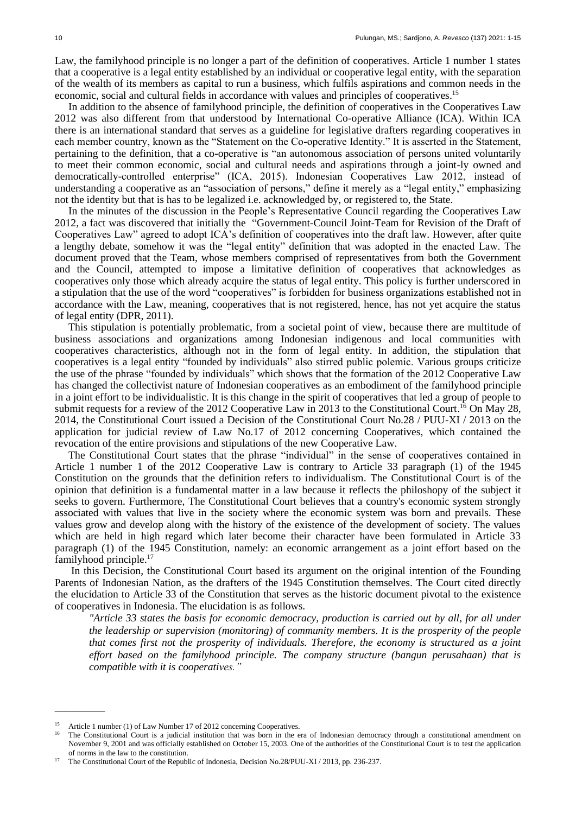Law, the familyhood principle is no longer a part of the definition of cooperatives. Article 1 number 1 states that a cooperative is a legal entity established by an individual or cooperative legal entity, with the separation of the wealth of its members as capital to run a business, which fulfils aspirations and common needs in the economic, social and cultural fields in accordance with values and principles of cooperatives.<sup>15</sup>

In addition to the absence of familyhood principle, the definition of cooperatives in the Cooperatives Law 2012 was also different from that understood by International Co-operative Alliance (ICA). Within ICA there is an international standard that serves as a guideline for legislative drafters regarding cooperatives in each member country, known as the "Statement on the Co-operative Identity." It is asserted in the Statement, pertaining to the definition, that a co-operative is "an autonomous association of persons united voluntarily to meet their common economic, social and cultural needs and aspirations through a joint-ly owned and democratically-controlled enterprise" (ICA, 2015). Indonesian Cooperatives Law 2012, instead of understanding a cooperative as an "association of persons," define it merely as a "legal entity," emphasizing not the identity but that is has to be legalized i.e. acknowledged by, or registered to, the State.

In the minutes of the discussion in the People's Representative Council regarding the Cooperatives Law 2012, a fact was discovered that initially the "Government-Council Joint-Team for Revision of the Draft of Cooperatives Law" agreed to adopt ICA's definition of cooperatives into the draft law. However, after quite a lengthy debate, somehow it was the "legal entity" definition that was adopted in the enacted Law. The document proved that the Team, whose members comprised of representatives from both the Government and the Council, attempted to impose a limitative definition of cooperatives that acknowledges as cooperatives only those which already acquire the status of legal entity. This policy is further underscored in a stipulation that the use of the word "cooperatives" is forbidden for business organizations established not in accordance with the Law, meaning, cooperatives that is not registered, hence, has not yet acquire the status of legal entity (DPR, 2011).

This stipulation is potentially problematic, from a societal point of view, because there are multitude of business associations and organizations among Indonesian indigenous and local communities with cooperatives characteristics, although not in the form of legal entity. In addition, the stipulation that cooperatives is a legal entity "founded by individuals" also stirred public polemic. Various groups criticize the use of the phrase "founded by individuals" which shows that the formation of the 2012 Cooperative Law has changed the collectivist nature of Indonesian cooperatives as an embodiment of the familyhood principle in a joint effort to be individualistic. It is this change in the spirit of cooperatives that led a group of people to submit requests for a review of the 2012 Cooperative Law in 2013 to the Constitutional Court.<sup>16</sup> On May 28, 2014, the Constitutional Court issued a Decision of the Constitutional Court No.28 / PUU-XI / 2013 on the application for judicial review of Law No.17 of 2012 concerning Cooperatives, which contained the revocation of the entire provisions and stipulations of the new Cooperative Law.

The Constitutional Court states that the phrase "individual" in the sense of cooperatives contained in Article 1 number 1 of the 2012 Cooperative Law is contrary to Article 33 paragraph (1) of the 1945 Constitution on the grounds that the definition refers to individualism. The Constitutional Court is of the opinion that definition is a fundamental matter in a law because it reflects the philoshopy of the subject it seeks to govern. Furthermore, The Constitutional Court believes that a country's economic system strongly associated with values that live in the society where the economic system was born and prevails. These values grow and develop along with the history of the existence of the development of society. The values which are held in high regard which later become their character have been formulated in Article 33 paragraph (1) of the 1945 Constitution, namely: an economic arrangement as a joint effort based on the familyhood principle.<sup>17</sup>

In this Decision, the Constitutional Court based its argument on the original intention of the Founding Parents of Indonesian Nation, as the drafters of the 1945 Constitution themselves. The Court cited directly the elucidation to Article 33 of the Constitution that serves as the historic document pivotal to the existence of cooperatives in Indonesia. The elucidation is as follows.

*"Article 33 states the basis for economic democracy, production is carried out by all, for all under the leadership or supervision (monitoring) of community members. It is the prosperity of the people that comes first not the prosperity of individuals. Therefore, the economy is structured as a joint effort based on the familyhood principle. The company structure (bangun perusahaan) that is compatible with it is cooperatives."* 

<sup>&</sup>lt;sup>15</sup> Article 1 number (1) of Law Number 17 of 2012 concerning Cooperatives.

<sup>16</sup> The Constitutional Court is a judicial institution that was born in the era of Indonesian democracy through a constitutional amendment on November 9, 2001 and was officially established on October 15, 2003. One of the authorities of the Constitutional Court is to test the application of norms in the law to the constitution.

<sup>&</sup>lt;sup>17</sup> The Constitutional Court of the Republic of Indonesia, Decision No.28/PUU-XI / 2013, pp. 236-237.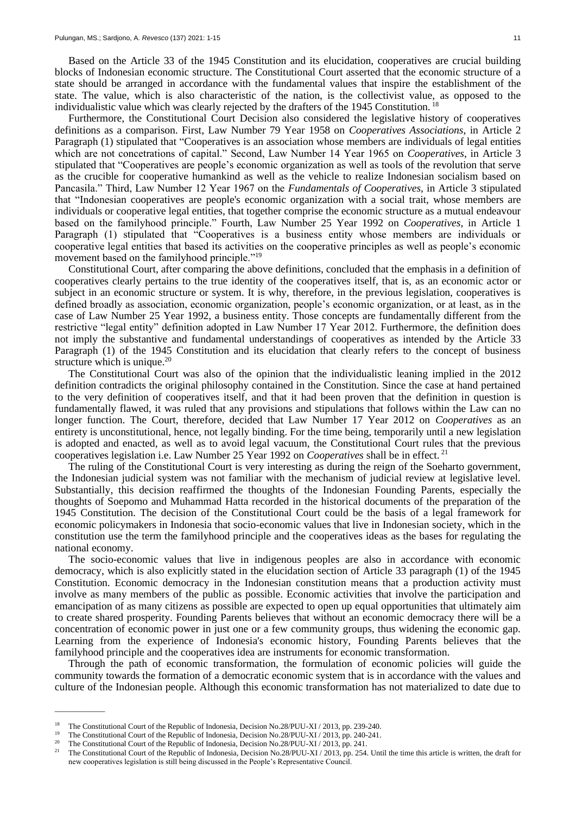Based on the Article 33 of the 1945 Constitution and its elucidation, cooperatives are crucial building blocks of Indonesian economic structure. The Constitutional Court asserted that the economic structure of a state should be arranged in accordance with the fundamental values that inspire the establishment of the state. The value, which is also characteristic of the nation, is the collectivist value, as opposed to the individualistic value which was clearly rejected by the drafters of the 1945 Constitution. <sup>18</sup>

Furthermore, the Constitutional Court Decision also considered the legislative history of cooperatives definitions as a comparison. First, Law Number 79 Year 1958 on *Cooperatives Associations*, in Article 2 Paragraph (1) stipulated that "Cooperatives is an association whose members are individuals of legal entities which are not concetrations of capital." Second, Law Number 14 Year 1965 on *Cooperatives*, in Article 3 stipulated that "Cooperatives are people's economic organization as well as tools of the revolution that serve as the crucible for cooperative humankind as well as the vehicle to realize Indonesian socialism based on Pancasila." Third, Law Number 12 Year 1967 on the *Fundamentals of Cooperatives*, in Article 3 stipulated that "Indonesian cooperatives are people's economic organization with a social trait, whose members are individuals or cooperative legal entities, that together comprise the economic structure as a mutual endeavour based on the familyhood principle." Fourth, Law Number 25 Year 1992 on *Cooperatives*, in Article 1 Paragraph (1) stipulated that "Cooperatives is a business entity whose members are individuals or cooperative legal entities that based its activities on the cooperative principles as well as people's economic movement based on the familyhood principle."<sup>19</sup>

Constitutional Court, after comparing the above definitions, concluded that the emphasis in a definition of cooperatives clearly pertains to the true identity of the cooperatives itself, that is, as an economic actor or subject in an economic structure or system. It is why, therefore, in the previous legislation, cooperatives is defined broadly as association, economic organization, people's economic organization, or at least, as in the case of Law Number 25 Year 1992, a business entity. Those concepts are fundamentally different from the restrictive "legal entity" definition adopted in Law Number 17 Year 2012. Furthermore, the definition does not imply the substantive and fundamental understandings of cooperatives as intended by the Article 33 Paragraph (1) of the 1945 Constitution and its elucidation that clearly refers to the concept of business structure which is unique.<sup>20</sup>

The Constitutional Court was also of the opinion that the individualistic leaning implied in the 2012 definition contradicts the original philosophy contained in the Constitution. Since the case at hand pertained to the very definition of cooperatives itself, and that it had been proven that the definition in question is fundamentally flawed, it was ruled that any provisions and stipulations that follows within the Law can no longer function. The Court, therefore, decided that Law Number 17 Year 2012 on *Cooperatives* as an entirety is unconstitutional, hence, not legally binding. For the time being, temporarily until a new legislation is adopted and enacted, as well as to avoid legal vacuum, the Constitutional Court rules that the previous cooperatives legislation i.e. Law Number 25 Year 1992 on *Cooperatives* shall be in effect. <sup>21</sup>

The ruling of the Constitutional Court is very interesting as during the reign of the Soeharto government, the Indonesian judicial system was not familiar with the mechanism of judicial review at legislative level. Substantially, this decision reaffirmed the thoughts of the Indonesian Founding Parents, especially the thoughts of Soepomo and Muhammad Hatta recorded in the historical documents of the preparation of the 1945 Constitution. The decision of the Constitutional Court could be the basis of a legal framework for economic policymakers in Indonesia that socio-economic values that live in Indonesian society, which in the constitution use the term the familyhood principle and the cooperatives ideas as the bases for regulating the national economy.

The socio-economic values that live in indigenous peoples are also in accordance with economic democracy, which is also explicitly stated in the elucidation section of Article 33 paragraph (1) of the 1945 Constitution. Economic democracy in the Indonesian constitution means that a production activity must involve as many members of the public as possible. Economic activities that involve the participation and emancipation of as many citizens as possible are expected to open up equal opportunities that ultimately aim to create shared prosperity. Founding Parents believes that without an economic democracy there will be a concentration of economic power in just one or a few community groups, thus widening the economic gap. Learning from the experience of Indonesia's economic history, Founding Parents believes that the familyhood principle and the cooperatives idea are instruments for economic transformation.

Through the path of economic transformation, the formulation of economic policies will guide the community towards the formation of a democratic economic system that is in accordance with the values and culture of the Indonesian people. Although this economic transformation has not materialized to date due to

<sup>&</sup>lt;sup>18</sup> The Constitutional Court of the Republic of Indonesia, Decision No.28/PUU-XI / 2013, pp. 239-240.<br><sup>19</sup> The Constitutional Court of the Basselia of Indonesia, Decision No. 28/PUU-XI / 2013, pp. 240, 241.

<sup>&</sup>lt;sup>19</sup> The Constitutional Court of the Republic of Indonesia, Decision No. 28/PUU-XI / 2013, pp. 240-241.

<sup>&</sup>lt;sup>20</sup> The Constitutional Court of the Republic of Indonesia, Decision No. 28/PUU-XI / 2013, pp. 241.

<sup>21</sup> The Constitutional Court of the Republic of Indonesia, Decision No.28/PUU-XI / 2013, pp. 254. Until the time this article is written, the draft for new cooperatives legislation is still being discussed in the People's Representative Council.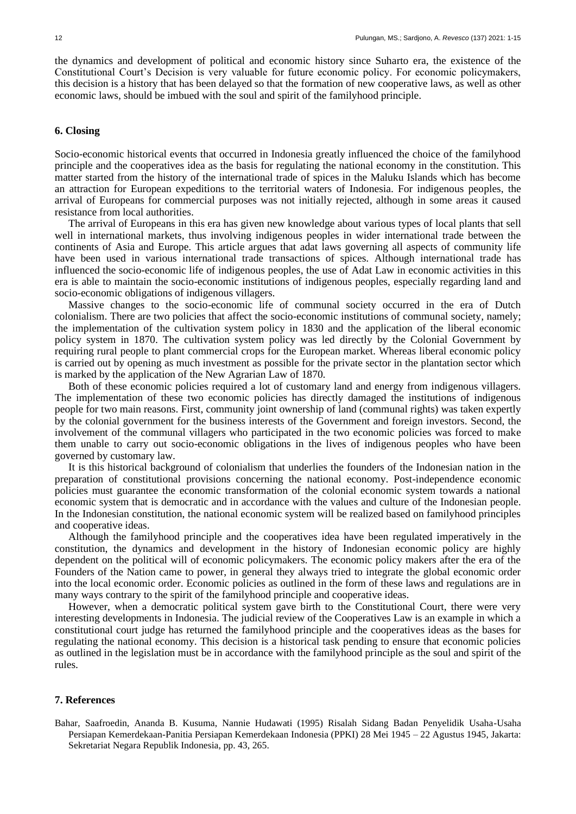the dynamics and development of political and economic history since Suharto era, the existence of the Constitutional Court's Decision is very valuable for future economic policy. For economic policymakers, this decision is a history that has been delayed so that the formation of new cooperative laws, as well as other economic laws, should be imbued with the soul and spirit of the familyhood principle.

# **6. Closing**

Socio-economic historical events that occurred in Indonesia greatly influenced the choice of the familyhood principle and the cooperatives idea as the basis for regulating the national economy in the constitution. This matter started from the history of the international trade of spices in the Maluku Islands which has become an attraction for European expeditions to the territorial waters of Indonesia. For indigenous peoples, the arrival of Europeans for commercial purposes was not initially rejected, although in some areas it caused resistance from local authorities.

The arrival of Europeans in this era has given new knowledge about various types of local plants that sell well in international markets, thus involving indigenous peoples in wider international trade between the continents of Asia and Europe. This article argues that adat laws governing all aspects of community life have been used in various international trade transactions of spices. Although international trade has influenced the socio-economic life of indigenous peoples, the use of Adat Law in economic activities in this era is able to maintain the socio-economic institutions of indigenous peoples, especially regarding land and socio-economic obligations of indigenous villagers.

Massive changes to the socio-economic life of communal society occurred in the era of Dutch colonialism. There are two policies that affect the socio-economic institutions of communal society, namely; the implementation of the cultivation system policy in 1830 and the application of the liberal economic policy system in 1870. The cultivation system policy was led directly by the Colonial Government by requiring rural people to plant commercial crops for the European market. Whereas liberal economic policy is carried out by opening as much investment as possible for the private sector in the plantation sector which is marked by the application of the New Agrarian Law of 1870.

Both of these economic policies required a lot of customary land and energy from indigenous villagers. The implementation of these two economic policies has directly damaged the institutions of indigenous people for two main reasons. First, community joint ownership of land (communal rights) was taken expertly by the colonial government for the business interests of the Government and foreign investors. Second, the involvement of the communal villagers who participated in the two economic policies was forced to make them unable to carry out socio-economic obligations in the lives of indigenous peoples who have been governed by customary law.

It is this historical background of colonialism that underlies the founders of the Indonesian nation in the preparation of constitutional provisions concerning the national economy. Post-independence economic policies must guarantee the economic transformation of the colonial economic system towards a national economic system that is democratic and in accordance with the values and culture of the Indonesian people. In the Indonesian constitution, the national economic system will be realized based on familyhood principles and cooperative ideas.

Although the familyhood principle and the cooperatives idea have been regulated imperatively in the constitution, the dynamics and development in the history of Indonesian economic policy are highly dependent on the political will of economic policymakers. The economic policy makers after the era of the Founders of the Nation came to power, in general they always tried to integrate the global economic order into the local economic order. Economic policies as outlined in the form of these laws and regulations are in many ways contrary to the spirit of the familyhood principle and cooperative ideas.

However, when a democratic political system gave birth to the Constitutional Court, there were very interesting developments in Indonesia. The judicial review of the Cooperatives Law is an example in which a constitutional court judge has returned the familyhood principle and the cooperatives ideas as the bases for regulating the national economy. This decision is a historical task pending to ensure that economic policies as outlined in the legislation must be in accordance with the familyhood principle as the soul and spirit of the rules.

### **7. References**

Bahar, Saafroedin, Ananda B. Kusuma, Nannie Hudawati (1995) Risalah Sidang Badan Penyelidik Usaha-Usaha Persiapan Kemerdekaan-Panitia Persiapan Kemerdekaan Indonesia (PPKI) 28 Mei 1945 – 22 Agustus 1945, Jakarta: Sekretariat Negara Republik Indonesia, pp. 43, 265.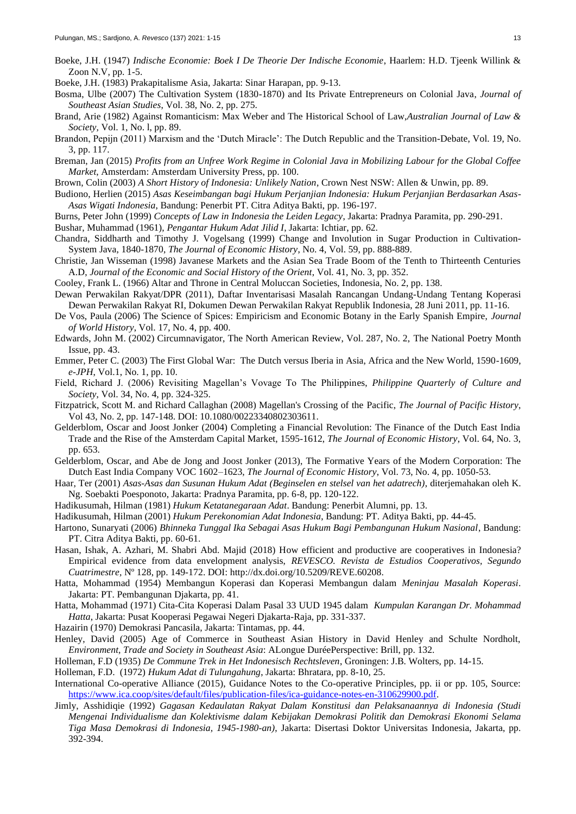- Boeke, J.H. (1947) *Indische Economie: Boek I De Theorie Der Indische Economie*, Haarlem: H.D. Tjeenk Willink & Zoon N.V, pp. 1-5.
- Boeke, J.H. (1983) Prakapitalisme Asia, Jakarta: Sinar Harapan, pp. 9-13.
- Bosma, Ulbe (2007) The Cultivation System (1830-1870) and Its Private Entrepreneurs on Colonial Java, *Journal of Southeast Asian Studies*, Vol. 38, No. 2, pp. 275.
- Brand, Arie (1982) Against Romanticism: Max Weber and The Historical School of Law,*Australian Journal of Law & Society,* Vol. 1, No. l, pp. 89.
- Brandon, Pepijn (2011) Marxism and the 'Dutch Miracle': The Dutch Republic and the Transition-Debate, Vol. 19, No. 3, pp. 117.
- Breman, Jan (2015) *Profits from an Unfree Work Regime in Colonial Java in Mobilizing Labour for the Global Coffee Market*, Amsterdam: Amsterdam University Press, pp. 100.
- Brown, Colin (2003) *A Short History of Indonesia: Unlikely Nation*, Crown Nest NSW: Allen & Unwin, pp. 89.
- Budiono, Herlien (2015) *Asas Keseimbangan bagi Hukum Perjanjian Indonesia: Hukum Perjanjian Berdasarkan Asas-Asas Wigati Indonesia*, Bandung: Penerbit PT. Citra Aditya Bakti, pp. 196-197.
- Burns, Peter John (1999) *Concepts of Law in Indonesia the Leiden Legacy*, Jakarta: Pradnya Paramita, pp. 290-291.
- Bushar, Muhammad (1961), *Pengantar Hukum Adat Jilid I*, Jakarta: Ichtiar, pp. 62.
- Chandra, Siddharth and Timothy J. Vogelsang (1999) Change and Involution in Sugar Production in Cultivation-System Java, 1840-1870, *The Journal of Economic History*, No. 4, Vol. 59, pp. 888-889.
- Christie, Jan Wisseman (1998) Javanese Markets and the Asian Sea Trade Boom of the Tenth to Thirteenth Centuries A.D, *Journal of the Economic and Social History of the Orient*, Vol. 41, No. 3, pp. 352.
- Cooley, Frank L. (1966) Altar and Throne in Central Moluccan Societies, Indonesia, No. 2, pp. 138.
- Dewan Perwakilan Rakyat/DPR (2011), Daftar Inventarisasi Masalah Rancangan Undang-Undang Tentang Koperasi Dewan Perwakilan Rakyat RI, Dokumen Dewan Perwakilan Rakyat Republik Indonesia, 28 Juni 2011, pp. 11-16.
- De Vos, Paula (2006) The Science of Spices: Empiricism and Economic Botany in the Early Spanish Empire, *Journal of World History*, Vol. 17, No. 4, pp. 400.
- Edwards, John M. (2002) Circumnavigator, The North American Review, Vol. 287, No. 2, The National Poetry Month Issue, pp. 43.
- Emmer, Peter C. (2003) The First Global War: The Dutch versus Iberia in Asia, Africa and the New World, 1590-1609, *e-JPH*, Vol.1, No. 1, pp. 10.
- Field, Richard J. (2006) Revisiting Magellan's Vovage To The Philippines, *Philippine Quarterly of Culture and Society*, Vol. 34, No. 4, pp. 324-325.
- Fitzpatrick, Scott M. and Richard Callaghan (2008) Magellan's Crossing of the Pacific, *The Journal of Pacific History*, Vol 43, No. 2, pp. 147-148. DOI: 10.1080/00223340802303611.
- Gelderblom, Oscar and Joost Jonker (2004) Completing a Financial Revolution: The Finance of the Dutch East India Trade and the Rise of the Amsterdam Capital Market, 1595-1612, *The Journal of Economic History*, Vol. 64, No. 3, pp. 653.
- Gelderblom, Oscar, and Abe de Jong and Joost Jonker (2013), The Formative Years of the Modern Corporation: The Dutch East India Company VOC 1602–1623, *The Journal of Economic History*, Vol. 73, No. 4, pp. 1050-53.
- Haar, Ter (2001) *Asas-Asas dan Susunan Hukum Adat (Beginselen en stelsel van het adatrech)*, diterjemahakan oleh K. Ng. Soebakti Poesponoto, Jakarta: Pradnya Paramita, pp. 6-8, pp. 120-122.
- Hadikusumah, Hilman (1981) *Hukum Ketatanegaraan Adat*. Bandung: Penerbit Alumni, pp. 13.
- Hadikusumah, Hilman (2001) *Hukum Perekonomian Adat Indonesia*, Bandung: PT. Aditya Bakti, pp. 44-45.
- Hartono, Sunaryati (2006) *Bhinneka Tunggal Ika Sebagai Asas Hukum Bagi Pembangunan Hukum Nasional*, Bandung: PT. Citra Aditya Bakti, pp. 60-61.
- Hasan, Ishak, A. Azhari, M. Shabri Abd. Majid (2018) How efficient and productive are cooperatives in Indonesia? Empirical evidence from data envelopment analysis, *REVESCO. Revista de Estudios Cooperativos, Segundo Cuatrimestre,* Nº 128, pp. 149-172. DOI: http://dx.doi.org/10.5209/REVE.60208.
- Hatta, Mohammad (1954) Membangun Koperasi dan Koperasi Membangun dalam *Meninjau Masalah Koperasi*. Jakarta: PT. Pembangunan Djakarta, pp. 41.
- Hatta, Mohammad (1971) Cita-Cita Koperasi Dalam Pasal 33 UUD 1945 dalam *Kumpulan Karangan Dr. Mohammad Hatta*, Jakarta: Pusat Kooperasi Pegawai Negeri Djakarta-Raja, pp. 331-337.
- Hazairin (1970) Demokrasi Pancasila, Jakarta: Tintamas, pp. 44.
- Henley, David (2005) Age of Commerce in Southeast Asian History in David Henley and Schulte Nordholt, *Environment, Trade and Society in Southeast Asia*: ALongue DuréePerspective: Brill, pp. 132.
- Holleman, F.D (1935) *De Commune Trek in Het Indonesisch Rechtsleven*, Groningen: J.B. Wolters, pp. 14-15.
- Holleman, F.D. (1972) *Hukum Adat di Tulungahung*, Jakarta: Bhratara, pp. 8-10, 25.
- International Co-operative Alliance (2015), Guidance Notes to the Co-operative Principles, pp. ii or pp. 105, Source: [https://www.ica.coop/sites/default/files/publication-files/ica-guidance-notes-en-310629900.pdf.](https://www.ica.coop/sites/default/files/publication-files/ica-guidance-notes-en-310629900.pdf)
- Jimly, Asshidiqie (1992) *Gagasan Kedaulatan Rakyat Dalam Konstitusi dan Pelaksanaannya di Indonesia (Studi Mengenai Individualisme dan Kolektivisme dalam Kebijakan Demokrasi Politik dan Demokrasi Ekonomi Selama Tiga Masa Demokrasi di Indonesia, 1945-1980-an)*, Jakarta: Disertasi Doktor Universitas Indonesia, Jakarta, pp. 392-394.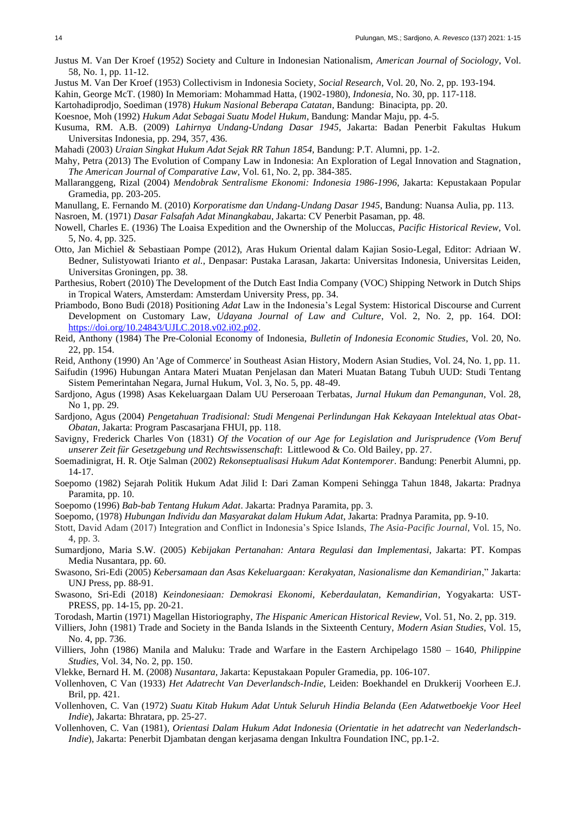- Justus M. Van Der Kroef (1952) Society and Culture in Indonesian Nationalism, *American Journal of Sociology*, Vol. 58, No. 1, pp. 11-12.
- Justus M. Van Der Kroef (1953) Collectivism in Indonesia Society, *Social Research*, Vol. 20, No. 2, pp. 193-194.

Kahin, George McT. (1980) In Memoriam: Mohammad Hatta, (1902-1980), *Indonesia*, No. 30, pp. 117-118.

Kartohadiprodjo, Soediman (1978) *Hukum Nasional Beberapa Catatan*, Bandung: Binacipta, pp. 20.

Koesnoe, Moh (1992) *Hukum Adat Sebagai Suatu Model Hukum*, Bandung: Mandar Maju, pp. 4-5.

Kusuma, RM. A.B. (2009) *Lahirnya Undang-Undang Dasar 1945*, Jakarta: Badan Penerbit Fakultas Hukum Universitas Indonesia, pp. 294, 357, 436.

Mahadi (2003) *Uraian Singkat Hukum Adat Sejak RR Tahun 1854*, Bandung: P.T. Alumni, pp. 1-2.

- Mahy, Petra (2013) The Evolution of Company Law in Indonesia: An Exploration of Legal Innovation and Stagnation, *The American Journal of Comparative Law*, Vol. 61, No. 2, pp. 384-385.
- Mallaranggeng, Rizal (2004) *Mendobrak Sentralisme Ekonomi: Indonesia 1986-1996*, Jakarta: Kepustakaan Popular Gramedia, pp. 203-205.
- Manullang, E. Fernando M. (2010) *Korporatisme dan Undang-Undang Dasar 1945*, Bandung: Nuansa Aulia, pp. 113. Nasroen, M. (1971) *Dasar Falsafah Adat Minangkabau*, Jakarta: CV Penerbit Pasaman, pp. 48.
- Nowell, Charles E. (1936) The Loaisa Expedition and the Ownership of the Moluccas, *Pacific Historical Review*, Vol. 5, No. 4, pp. 325.
- Otto, Jan Michiel & Sebastiaan Pompe (2012), Aras Hukum Oriental dalam Kajian Sosio-Legal, Editor: Adriaan W. Bedner, Sulistyowati Irianto *et al.*, Denpasar: Pustaka Larasan, Jakarta: Universitas Indonesia, Universitas Leiden, Universitas Groningen, pp. 38.
- Parthesius, Robert (2010) The Development of the Dutch East India Company (VOC) Shipping Network in Dutch Ships in Tropical Waters, Amsterdam: Amsterdam University Press, pp. 34.
- Priambodo, Bono Budi (2018) Positioning *Adat* Law in the Indonesia's Legal System: Historical Discourse and Current Development on Customary Law, *Udayana Journal of Law and Culture*, Vol. 2, No. 2, pp. 164. DOI: [https://doi.org/10.24843/UJLC.2018.v02.i02.p02.](https://doi.org/10.24843/UJLC.2018.v02.i02.p02)
- Reid, Anthony (1984) The Pre-Colonial Economy of Indonesia, *Bulletin of Indonesia Economic Studies*, Vol. 20, No. 22, pp. 154.
- Reid, Anthony (1990) An 'Age of Commerce' in Southeast Asian History, Modern Asian Studies, Vol. 24, No. 1, pp. 11.
- Saifudin (1996) Hubungan Antara Materi Muatan Penjelasan dan Materi Muatan Batang Tubuh UUD: Studi Tentang Sistem Pemerintahan Negara, Jurnal Hukum, Vol. 3, No. 5, pp. 48-49.
- Sardjono, Agus (1998) Asas Kekeluargaan Dalam UU Perseroaan Terbatas, *Jurnal Hukum dan Pemangunan*, Vol. 28, No 1, pp. 29.
- Sardjono, Agus (2004) *Pengetahuan Tradisional: Studi Mengenai Perlindungan Hak Kekayaan Intelektual atas Obat-Obatan*, Jakarta: Program Pascasarjana FHUI, pp. 118.
- Savigny, Frederick Charles Von (1831) *Of the Vocation of our Age for Legislation and Jurisprudence (Vom Beruf unserer Zeit für Gesetzgebung und Rechtswissenschaft*: Littlewood & Co. Old Bailey, pp. 27.
- Soemadinigrat, H. R. Otje Salman (2002) *Rekonseptualisasi Hukum Adat Kontemporer*. Bandung: Penerbit Alumni, pp. 14-17.
- Soepomo (1982) Sejarah Politik Hukum Adat Jilid I: Dari Zaman Kompeni Sehingga Tahun 1848, Jakarta: Pradnya Paramita, pp. 10.
- Soepomo (1996) *Bab-bab Tentang Hukum Adat*. Jakarta: Pradnya Paramita, pp. 3.
- Soepomo, (1978) *Hubungan Individu dan Masyarakat dalam Hukum Adat*, Jakarta: Pradnya Paramita, pp. 9-10.
- Stott, David Adam (2017) Integration and Conflict in Indonesia's Spice Islands, *The Asia-Pacific Journal*, Vol. 15, No. 4, pp. 3.
- Sumardjono, Maria S.W. (2005) *Kebijakan Pertanahan: Antara Regulasi dan Implementasi*, Jakarta: PT. Kompas Media Nusantara, pp. 60.
- Swasono, Sri-Edi (2005) *Kebersamaan dan Asas Kekeluargaan: Kerakyatan, Nasionalisme dan Kemandirian*," Jakarta: UNJ Press, pp. 88-91.
- Swasono, Sri-Edi (2018) *Keindonesiaan: Demokrasi Ekonomi, Keberdaulatan, Kemandirian*, Yogyakarta: UST-PRESS, pp. 14-15, pp. 20-21.
- Torodash, Martin (1971) Magellan Historiography, *The Hispanic American Historical Review*, Vol. 51, No. 2, pp. 319.
- Villiers, John (1981) Trade and Society in the Banda Islands in the Sixteenth Century, *Modern Asian Studies*, Vol. 15, No. 4, pp. 736.
- Villiers, John (1986) Manila and Maluku: Trade and Warfare in the Eastern Archipelago 1580 1640, *Philippine Studies*, Vol. 34, No. 2, pp. 150.
- Vlekke, Bernard H. M. (2008) *Nusantara*, Jakarta: Kepustakaan Populer Gramedia, pp. 106-107.
- Vollenhoven, C Van (1933) *Het Adatrecht Van Deverlandsch-Indie*, Leiden: Boekhandel en Drukkerij Voorheen E.J. Bril, pp. 421.
- Vollenhoven, C. Van (1972) *Suatu Kitab Hukum Adat Untuk Seluruh Hindia Belanda* (*Een Adatwetboekje Voor Heel Indie*), Jakarta: Bhratara, pp. 25-27.
- Vollenhoven, C. Van (1981), *Orientasi Dalam Hukum Adat Indonesia* (*Orientatie in het adatrecht van Nederlandsch-Indie*), Jakarta: Penerbit Djambatan dengan kerjasama dengan Inkultra Foundation INC, pp.1-2.